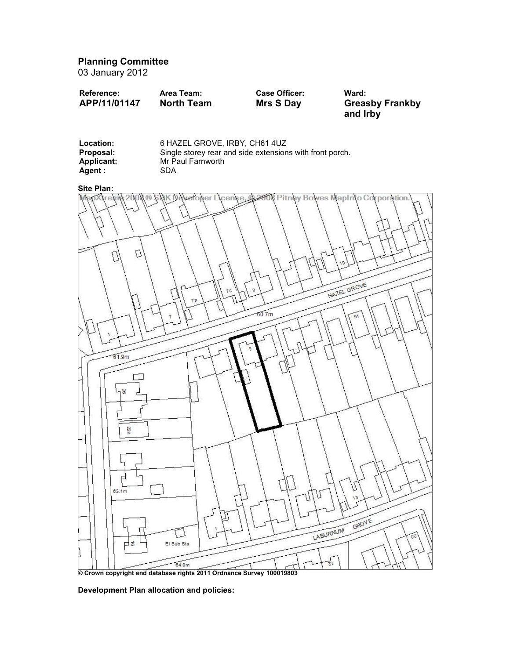Planning Committee

03 January 2012

| <b>Reference:</b> | Area Team:        | <b>Case Officer:</b> | Ward:                  |
|-------------------|-------------------|----------------------|------------------------|
| APP/11/01147      | <b>North Team</b> | <b>Mrs S Day</b>     | <b>Greasby Frankby</b> |
|                   |                   |                      | and Irby               |

| Location:         | 6 HAZEL GROVE. IRBY. CH61 4UZ                            |  |
|-------------------|----------------------------------------------------------|--|
| Proposal:         | Single storey rear and side extensions with front porch. |  |
| <b>Applicant:</b> | Mr Paul Farnworth                                        |  |
| Agent :           | SDA.                                                     |  |

# Site Plan:



Development Plan allocation and policies: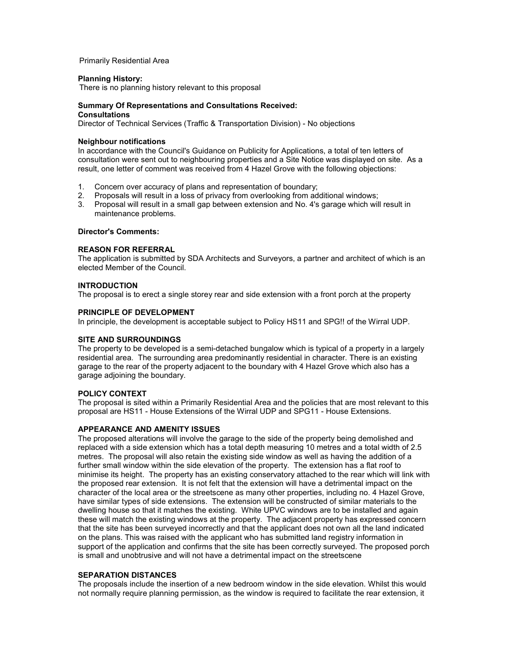Primarily Residential Area

#### Planning History:

There is no planning history relevant to this proposal

# Summary Of Representations and Consultations Received:

## **Consultations**

Director of Technical Services (Traffic & Transportation Division) - No objections

#### Neighbour notifications

In accordance with the Council's Guidance on Publicity for Applications, a total of ten letters of consultation were sent out to neighbouring properties and a Site Notice was displayed on site. As a result, one letter of comment was received from 4 Hazel Grove with the following objections:

- 1. Concern over accuracy of plans and representation of boundary;
- 2. Proposals will result in a loss of privacy from overlooking from additional windows;
- 3. Proposal will result in a small gap between extension and No. 4's garage which will result in maintenance problems.

#### Director's Comments:

#### REASON FOR REFERRAL

The application is submitted by SDA Architects and Surveyors, a partner and architect of which is an elected Member of the Council.

### INTRODUCTION

The proposal is to erect a single storey rear and side extension with a front porch at the property

### PRINCIPLE OF DEVELOPMENT

In principle, the development is acceptable subject to Policy HS11 and SPG!! of the Wirral UDP.

### SITE AND SURROUNDINGS

The property to be developed is a semi-detached bungalow which is typical of a property in a largely residential area. The surrounding area predominantly residential in character. There is an existing garage to the rear of the property adjacent to the boundary with 4 Hazel Grove which also has a garage adjoining the boundary.

### POLICY CONTEXT

The proposal is sited within a Primarily Residential Area and the policies that are most relevant to this proposal are HS11 - House Extensions of the Wirral UDP and SPG11 - House Extensions.

#### APPEARANCE AND AMENITY ISSUES

The proposed alterations will involve the garage to the side of the property being demolished and replaced with a side extension which has a total depth measuring 10 metres and a total width of 2.5 metres. The proposal will also retain the existing side window as well as having the addition of a further small window within the side elevation of the property. The extension has a flat roof to minimise its height. The property has an existing conservatory attached to the rear which will link with the proposed rear extension. It is not felt that the extension will have a detrimental impact on the character of the local area or the streetscene as many other properties, including no. 4 Hazel Grove, have similar types of side extensions. The extension will be constructed of similar materials to the dwelling house so that it matches the existing. White UPVC windows are to be installed and again these will match the existing windows at the property. The adjacent property has expressed concern that the site has been surveyed incorrectly and that the applicant does not own all the land indicated on the plans. This was raised with the applicant who has submitted land registry information in support of the application and confirms that the site has been correctly surveyed. The proposed porch is small and unobtrusive and will not have a detrimental impact on the streetscene

#### SEPARATION DISTANCES

The proposals include the insertion of a new bedroom window in the side elevation. Whilst this would not normally require planning permission, as the window is required to facilitate the rear extension, it